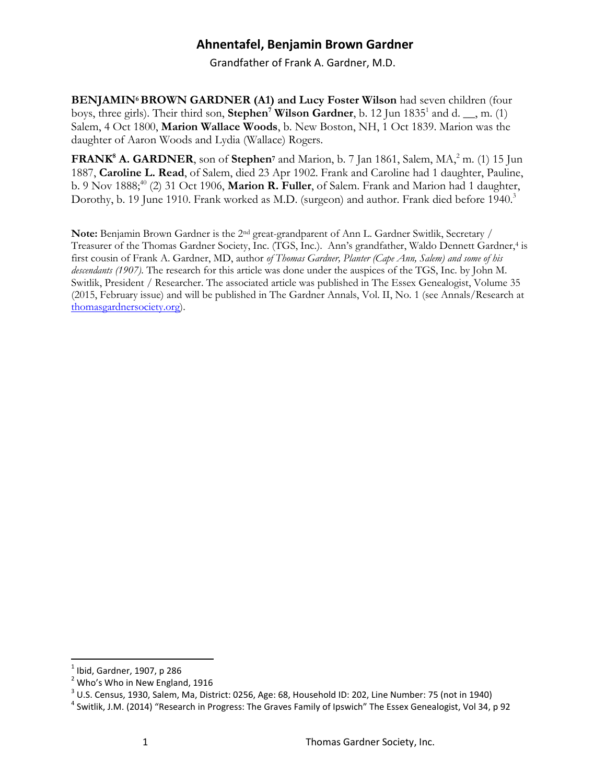Grandfather of Frank A. Gardner, M.D.

**BENJAMIN6BROWN GARDNER (A1) and Lucy Foster Wilson** had seven children (four boys, three girls). Their third son, **Stephen<sup>7</sup> Wilson Gardner**, b. 12 Jun 1835<sup>1</sup> and d. \_\_, m. (1) Salem, 4 Oct 1800, **Marion Wallace Woods**, b. New Boston, NH, 1 Oct 1839. Marion was the daughter of Aaron Woods and Lydia (Wallace) Rogers.

**FRANK<sup>8</sup> A. GARDNER**, son of **Stephen**<sup>7</sup> and Marion, b. 7 Jan 1861, Salem, MA,<sup>2</sup> m. (1) 15 Jun 1887, **Caroline L. Read**, of Salem, died 23 Apr 1902. Frank and Caroline had 1 daughter, Pauline, b. 9 Nov 1888;<sup>40</sup> (2) 31 Oct 1906, Marion R. Fuller, of Salem. Frank and Marion had 1 daughter, Dorothy, b. 19 June 1910. Frank worked as M.D. (surgeon) and author. Frank died before 1940.<sup>3</sup>

**Note:** Benjamin Brown Gardner is the 2nd great-grandparent of Ann L. Gardner Switlik, Secretary / Treasurer of the Thomas Gardner Society, Inc. (TGS, Inc.). Ann's grandfather, Waldo Dennett Gardner,<sup>4</sup> is first cousin of Frank A. Gardner, MD, author *of Thomas Gardner, Planter (Cape Ann, Salem) and some of his descendants (1907)*. The research for this article was done under the auspices of the TGS, Inc. by John M. Switlik, President / Researcher. The associated article was published in The Essex Genealogist, Volume 35 (2015, February issue) and will be published in The Gardner Annals, Vol. II, No. 1 (see Annals/Research at [thomasgardnersociety.org\)](http://thomasgardnersociety.org/).

 $\overline{a}$ 

 $<sup>1</sup>$  Ibid, Gardner, 1907, p 286</sup>

<sup>&</sup>lt;sup>2</sup> Who's Who in New England, 1916

 $^3$  U.S. Census, 1930, Salem, Ma, District: 0256, Age: 68, Household ID: 202, Line Number: 75 (not in 1940)

<sup>&</sup>lt;sup>4</sup> Switlik, J.M. (2014) "Research in Progress: The Graves Family of Ipswich" The Essex Genealogist, Vol 34, p 92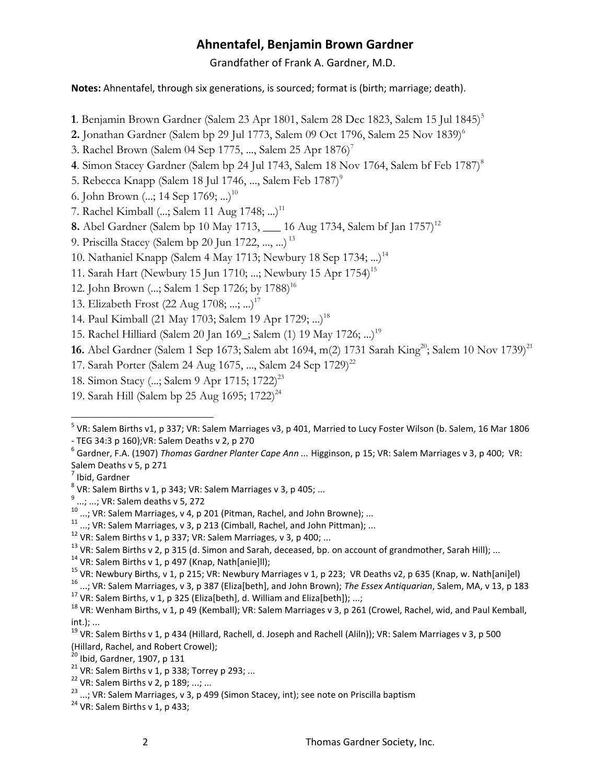Grandfather of Frank A. Gardner, M.D.

**Notes:** Ahnentafel, through six generations, is sourced; format is (birth; marriage; death).

- 1. Benjamin Brown Gardner (Salem 23 Apr 1801, Salem 28 Dec 1823, Salem 15 Jul 1845)<sup>5</sup>
- **2.** Jonathan Gardner (Salem bp 29 Jul 1773, Salem 09 Oct 1796, Salem 25 Nov 1839)<sup>6</sup>
- 3. Rachel Brown (Salem 04 Sep 1775, ..., Salem 25 Apr 1876)<sup>7</sup>
- **4**. Simon Stacey Gardner (Salem bp 24 Jul 1743, Salem 18 Nov 1764, Salem bf Feb 1787)<sup>8</sup>
- 5. Rebecca Knapp (Salem 18 Jul 1746, ..., Salem Feb 1787)<sup>9</sup>
- 6. John Brown (...; 14 Sep 1769; ...)<sup>10</sup>
- 7. Rachel Kimball  $(...; \text{Salem 11 Aug 1748; ...)$ <sup>11</sup>
- **8.** Abel Gardner (Salem bp 10 May 1713, \_\_\_ 16 Aug 1734, Salem bf Jan 1757)<sup>12</sup>
- 9. Priscilla Stacey (Salem bp 20 Jun 1722, ..., ...) <sup>13</sup>
- 10. Nathaniel Knapp (Salem 4 May 1713; Newbury 18 Sep 1734; ...)<sup>14</sup>
- 11. Sarah Hart (Newbury 15 Jun 1710; ...; Newbury 15 Apr 1754)<sup>15</sup>
- 12. John Brown (...; Salem 1 Sep 1726; by 1788)<sup>16</sup>
- 13. Elizabeth Frost (22 Aug 1708; ...; ...)<sup>17</sup>
- 14. Paul Kimball (21 May 1703; Salem 19 Apr 1729; ...)<sup>18</sup>
- 15. Rachel Hilliard (Salem 20 Jan 169\_; Salem (1) 19 May 1726; ...)<sup>19</sup>

16. Abel Gardner (Salem 1 Sep 1673; Salem abt 1694, m(2) 1731 Sarah King<sup>20</sup>; Salem 10 Nov 1739)<sup>21</sup>

- 17. Sarah Porter (Salem 24 Aug 1675, ..., Salem 24 Sep 1729)<sup>22</sup>
- 18. Simon Stacy (...; Salem 9 Apr 1715; 1722)<sup>23</sup>
- 19. Sarah Hill (Salem bp 25 Aug 1695; 1722)<sup>24</sup>

 $\overline{a}$ 

<sup>17</sup> VR: Salem Births, v 1, p 325 (Eliza[beth], d. William and Eliza[beth]); ...;

 $23$  ...; VR: Salem Marriages, v 3, p 499 (Simon Stacey, int); see note on Priscilla baptism

<sup>&</sup>lt;sup>5</sup> VR: Salem Births v1, p 337; VR: Salem Marriages v3, p 401, Married to Lucy Foster Wilson (b. Salem, 16 Mar 1806 - TEG 34:3 p 160);VR: Salem Deaths v 2, p 270

<sup>6</sup> Gardner, F.A. (1907) *Thomas Gardner Planter Cape Ann ...* Higginson, p 15; VR: Salem Marriages v 3, p 400; VR: Salem Deaths v 5, p 271

<sup>&</sup>lt;sup>7</sup> Ibid, Gardner

 $^8$  VR: Salem Births v 1, p 343; VR: Salem Marriages v 3, p 405; ...

<sup>&</sup>lt;sup>9</sup> ...; ...; VR: Salem deaths v 5, 272

 $10$ ; VR: Salem Marriages, v 4, p 201 (Pitman, Rachel, and John Browne); ...

 $11$  ...; VR: Salem Marriages, v 3, p 213 (Cimball, Rachel, and John Pittman); ...

 $12$  VR: Salem Births v 1, p 337; VR: Salem Marriages, v 3, p 400; ...

 $13$  VR: Salem Births v 2, p 315 (d. Simon and Sarah, deceased, bp. on account of grandmother, Sarah Hill); ...

<sup>&</sup>lt;sup>14</sup> VR: Salem Births v 1, p 497 (Knap, Nath[anie]ll);

<sup>&</sup>lt;sup>15</sup> VR: Newbury Births, v 1, p 215; VR: Newbury Marriages v 1, p 223; VR Deaths v2, p 635 (Knap, w. Nath[ani]el)

<sup>16</sup> ...; VR: Salem Marriages, v 3, p 387 (Eliza[beth], and John Brown); *The Essex Antiquarian*, Salem, MA, v 13, p 183

<sup>&</sup>lt;sup>18</sup> VR: Wenham Births, v 1, p 49 (Kemball); VR: Salem Marriages v 3, p 261 (Crowel, Rachel, wid, and Paul Kemball, int.); ...

<sup>&</sup>lt;sup>19</sup> VR: Salem Births v 1, p 434 (Hillard, Rachell, d. Joseph and Rachell (Aliln)); VR: Salem Marriages v 3, p 500 (Hillard, Rachel, and Robert Crowel);

 $20$  Ibid, Gardner, 1907, p 131

 $21$  VR: Salem Births v 1, p 338; Torrey p 293; ...

<sup>&</sup>lt;sup>22</sup> VR: Salem Births v 2, p 189; ...; ...

 $24$  VR: Salem Births v 1, p 433;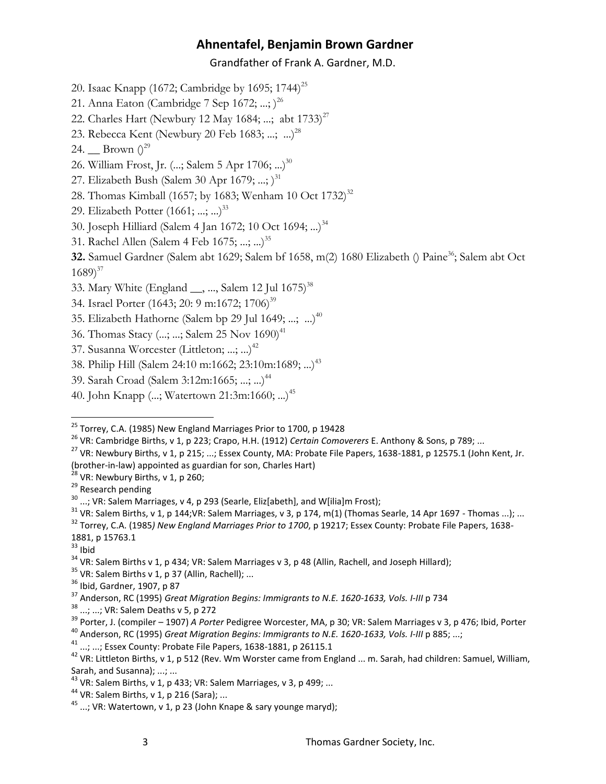#### Grandfather of Frank A. Gardner, M.D.

- 20. Isaac Knapp (1672; Cambridge by 1695; 1744)<sup>25</sup>
- 21. Anna Eaton (Cambridge 7 Sep 1672; ...; )<sup>26</sup>
- 22. Charles Hart (Newbury 12 May 1684; ...; abt  $1733$ )<sup>27</sup>
- 23. Rebecca Kent (Newbury 20 Feb 1683; ...; ...)<sup>28</sup>
- 24. Brown  $()^{29}$
- 26. William Frost, Jr. (...; Salem 5 Apr 1706; ...)<sup>30</sup>
- 27. Elizabeth Bush (Salem 30 Apr 1679; ...; )<sup>31</sup>
- 28. Thomas Kimball (1657; by 1683; Wenham 10 Oct 1732)<sup>32</sup>
- 29. Elizabeth Potter (1661; ...; ...)<sup>33</sup>
- 30. Joseph Hilliard (Salem 4 Jan 1672; 10 Oct 1694; ...)<sup>34</sup>
- 31. Rachel Allen (Salem 4 Feb 1675; ...; ...)<sup>35</sup>

**32.** Samuel Gardner (Salem abt 1629; Salem bf 1658, m(2) 1680 Elizabeth () Paine<sup>36</sup>; Salem abt Oct  $1689)^{37}$ 

- 33. Mary White (England \_\_, ..., Salem 12 Jul 1675)<sup>38</sup>
- 34. Israel Porter (1643; 20: 9 m:1672; 1706)<sup>39</sup>
- 35. Elizabeth Hathorne (Salem bp 29 Jul 1649; ...; ...)<sup>40</sup>
- 36. Thomas Stacy (...; ...; Salem 25 Nov 1690)<sup>41</sup>
- 37. Susanna Worcester (Littleton; ...; ...)<sup>42</sup>
- 38. Philip Hill (Salem 24:10 m:1662; 23:10m:1689; ...)<sup>43</sup>
- 39. Sarah Croad (Salem 3:12m:1665; ...; ...)<sup>44</sup>
- 40. John Knapp (...; Watertown 21:3m:1660; ...)<sup>45</sup>

 $^{28}$  VR: Newbury Births, v 1, p 260;

<sup>29</sup> Research pending

 $33$  Ibid

 $\overline{a}$ 

<sup>39</sup> Porter, J. (compiler – 1907) *A Porter* Pedigree Worcester, MA, p 30; VR: Salem Marriages v 3, p 476; Ibid, Porter <sup>40</sup> Anderson, RC (1995) *Great Migration Begins: Immigrants to N.E. 1620-1633, Vols. I-III* p 885; ...;

<sup>44</sup> VR: Salem Births, v 1, p 216 (Sara); ...

<sup>&</sup>lt;sup>25</sup> Torrey, C.A. (1985) New England Marriages Prior to 1700, p 19428

<sup>26</sup> VR: Cambridge Births, v 1, p 223; Crapo, H.H. (1912) *Certain Comoverers* E. Anthony & Sons, p 789; ...

<sup>&</sup>lt;sup>27</sup> VR: Newbury Births, v 1, p 215; ...; Essex County, MA: Probate File Papers, 1638-1881, p 12575.1 (John Kent, Jr. (brother-in-law) appointed as guardian for son, Charles Hart)

<sup>&</sup>lt;sup>30</sup> ...; VR: Salem Marriages, v 4, p 293 (Searle, Eliz[abeth], and W[ilia]m Frost);

 $31$  VR: Salem Births, v 1, p 144; VR: Salem Marriages, v 3, p 174, m(1) (Thomas Searle, 14 Apr 1697 - Thomas ...); ...

<sup>32</sup> Torrey, C.A. (1985*) New England Marriages Prior to 1700*, p 19217; Essex County: Probate File Papers, 1638- 1881, p 15763.1

<sup>&</sup>lt;sup>34</sup> VR: Salem Births v 1, p 434; VR: Salem Marriages v 3, p 48 (Allin, Rachell, and Joseph Hillard);

 $35$  VR: Salem Births v 1, p 37 (Allin, Rachell); ...

<sup>36</sup> Ibid, Gardner, 1907, p 87

<sup>37</sup> Anderson, RC (1995) *Great Migration Begins: Immigrants to N.E. 1620-1633, Vols. I-III* p 734

<sup>...; ...;</sup> VR: Salem Deaths v 5, p 272

<sup>41 ...; ...;</sup> Essex County: Probate File Papers, 1638-1881, p 26115.1

<sup>&</sup>lt;sup>42</sup> VR: Littleton Births, v 1, p 512 (Rev. Wm Worster came from England ... m. Sarah, had children: Samuel, William, Sarah, and Susanna); ...; ...

 $^{43}$  VR: Salem Births, v 1, p 433; VR: Salem Marriages, v 3, p 499; ...

 $45$  ...; VR: Watertown, v 1, p 23 (John Knape & sary younge maryd);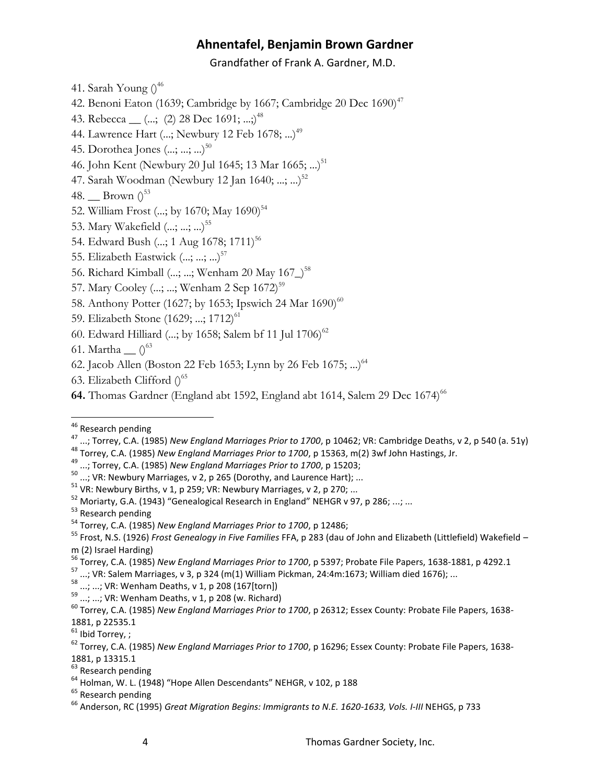Grandfather of Frank A. Gardner, M.D.

41. Sarah Young  $()^{46}$ 

42. Benoni Eaton (1639; Cambridge by 1667; Cambridge 20 Dec 1690)<sup>47</sup>

43. Rebecca <sub>—</sub> (...; (2) 28 Dec 1691; ...;)<sup>48</sup>

44. Lawrence Hart (...; Newbury 12 Feb 1678; ...)<sup>49</sup>

45. Dorothea Jones (...; ...; ...)<sup>50</sup>

46. John Kent (Newbury 20 Jul 1645; 13 Mar 1665; ...)<sup>51</sup>

47. Sarah Woodman (Newbury 12 Jan 1640; ...; ...)<sup>52</sup>

48. Brown  $0^{53}$ 

- 52. William Frost (...; by 1670; May 1690)<sup>54</sup>
- 53. Mary Wakefield (...; ...; ...)<sup>55</sup>
- 54. Edward Bush (...; 1 Aug 1678; 1711)<sup>56</sup>
- 55. Elizabeth Eastwick (...; ...; ...)<sup>57</sup>
- 56. Richard Kimball (...; ...; Wenham 20 May 167<sup>-58</sup>
- 57. Mary Cooley (...; ...; Wenham 2 Sep 1672)<sup>59</sup>
- 58. Anthony Potter (1627; by 1653; Ipswich 24 Mar 1690)<sup>60</sup>
- 59. Elizabeth Stone (1629; ...; 1712)<sup>61</sup>
- 60. Edward Hilliard (...; by 1658; Salem bf 11 Jul 1706)<sup>62</sup>
- 61. Martha  $\bigcap^{63}$
- 62. Jacob Allen (Boston 22 Feb 1653; Lynn by 26 Feb 1675; ...)<sup>64</sup>
- 63. Elizabeth Clifford  $0^{65}$
- 64. Thomas Gardner (England abt 1592, England abt 1614, Salem 29 Dec 1674)<sup>66</sup>

 $\overline{a}$ 

<sup>48</sup> Torrey, C.A. (1985) *New England Marriages Prior to 1700*, p 15363, m(2) 3wf John Hastings, Jr.

 $^{50}$  ...; VR: Newbury Marriages, v 2, p 265 (Dorothy, and Laurence Hart); ...

 $^{57}$  ...; VR: Salem Marriages, v 3, p 324 (m(1) William Pickman, 24:4m:1673; William died 1676); ...

 $\frac{58}{58}$  ...; ...; VR: Wenham Deaths, v 1, p 208 (167[torn])<br> $\frac{59}{58}$  ...; ...; VR: Wenham Deaths, v 1, p 208 (167[torn])

..; ...; VR: Wenham Deaths, v 1, p 208 (w. Richard)

<sup>&</sup>lt;sup>46</sup> Research pending

<sup>47</sup> ...; Torrey, C.A. (1985) *New England Marriages Prior to 1700*, p 10462; VR: Cambridge Deaths, v 2, p 540 (a. 51y)

<sup>49</sup> ...; Torrey, C.A. (1985) *New England Marriages Prior to 1700*, p 15203;

 $51$  VR: Newbury Births, v 1, p 259; VR: Newbury Marriages, v 2, p 270; ...

 $52$  Moriarty, G.A. (1943) "Genealogical Research in England" NEHGR v 97, p 286; ...; ...

<sup>&</sup>lt;sup>53</sup> Research pending

<sup>54</sup> Torrey, C.A. (1985) *New England Marriages Prior to 1700*, p 12486;

<sup>55</sup> Frost, N.S. (1926) *Frost Genealogy in Five Families* FFA, p 283 (dau of John and Elizabeth (Littlefield) Wakefield – m (2) Israel Harding)

<sup>56</sup> Torrey, C.A. (1985) *New England Marriages Prior to 1700*, p 5397; Probate File Papers, 1638-1881, p 4292.1

<sup>60</sup> Torrey, C.A. (1985) *New England Marriages Prior to 1700*, p 26312; Essex County: Probate File Papers, 1638- 1881, p 22535.1

 $61$  Ibid Torrey, ;

<sup>62</sup> Torrey, C.A. (1985) *New England Marriages Prior to 1700*, p 16296; Essex County: Probate File Papers, 1638- 1881, p 13315.1

<sup>&</sup>lt;sup>63</sup> Research pending

<sup>64</sup> Holman, W. L. (1948) "Hope Allen Descendants" NEHGR, v 102, p 188

<sup>&</sup>lt;sup>65</sup> Research pending

<sup>66</sup> Anderson, RC (1995) *Great Migration Begins: Immigrants to N.E. 1620-1633, Vols. I-III* NEHGS, p 733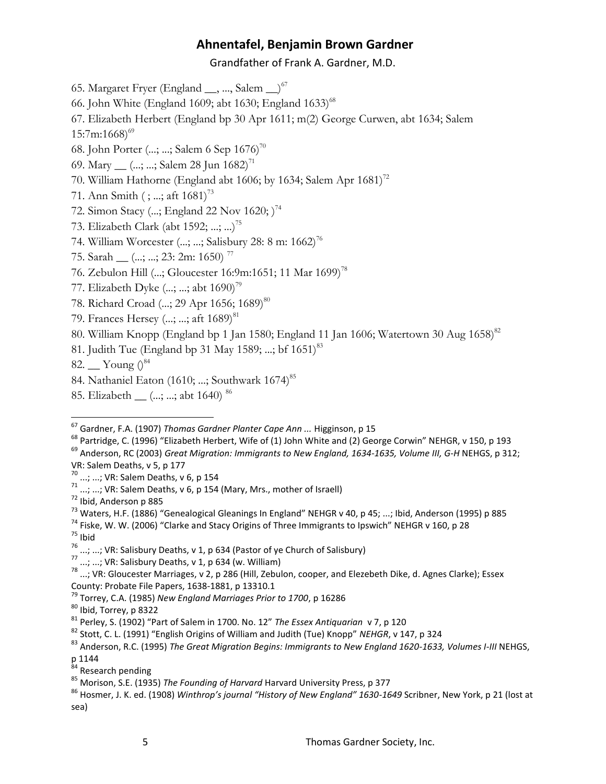Grandfather of Frank A. Gardner, M.D.

- 65. Margaret Fryer (England  $\_,\, \ldots$ , Salem  $\_)$ <sup>67</sup>
- 66. John White (England 1609; abt 1630; England 1633)<sup>68</sup>

67. Elizabeth Herbert (England bp 30 Apr 1611; m(2) George Curwen, abt 1634; Salem

 $15:7m:1668$ <sup>69</sup>

- 68. John Porter (...; ...; Salem 6 Sep  $1676$ )<sup>70</sup>
- 69. Mary  $(...;...; \text{Salem } 28 \text{ Jun } 1682)^{71}$
- 70. William Hathorne (England abt 1606; by 1634; Salem Apr 1681)<sup>72</sup>
- 71. Ann Smith (; ...; aft  $1681$ <sup>73</sup>
- 72. Simon Stacy (...; England 22 Nov 1620; )<sup>74</sup>
- 73. Elizabeth Clark (abt 1592; ...; ...)<sup>75</sup>
- 74. William Worcester (...; ...; Salisbury 28: 8 m: 1662)<sup>76</sup>
- 75. Sarah  $\frac{1}{2}$  (...; ...; 23: 2m: 1650)<sup>77</sup>
- 76. Zebulon Hill (...; Gloucester 16:9m:1651; 11 Mar 1699)<sup>78</sup>
- 77. Elizabeth Dyke (...; ...; abt 1690)<sup>79</sup>
- 78. Richard Croad (...; 29 Apr 1656; 1689)<sup>80</sup>
- 79. Frances Hersey  $(...;...;$  aft  $1689)^{81}$
- 80. William Knopp (England bp 1 Jan 1580; England 11 Jan 1606; Watertown 30 Aug  $1658$ )<sup>82</sup>
- 81. Judith Tue (England bp 31 May 1589; ...; bf 1651)<sup>83</sup>
- 82.  $\sum$  Young  $\binom{84}{ }$
- 84. Nathaniel Eaton (1610; ...; Southwark 1674)<sup>85</sup>
- 85. Elizabeth <sub>\_\_</sub> (...; ...; abt 1640)<sup>86</sup>

- <sup>68</sup> Partridge, C. (1996) "Elizabeth Herbert, Wife of (1) John White and (2) George Corwin" NEHGR, v 150, p 193
- <sup>69</sup> Anderson, RC (2003) *Great Migration: Immigrants to New England, 1634-1635, Volume III, G-H* NEHGS, p 312; VR: Salem Deaths, v 5, p 177
- ...; ...; VR: Salem Deaths, v 6, p 154
- $\frac{71}{1}$  ...; ...; VR: Salem Deaths, v 6, p 154 (Mary, Mrs., mother of Israell)
- <sup>72</sup> Ibid, Anderson p 885
- <sup>73</sup> Waters, H.F. (1886) "Genealogical Gleanings In England" NEHGR v 40, p 45; ...; Ibid, Anderson (1995) p 885
- $74$  Fiske. W. W. (2006) "Clarke and Stacy Origins of Three Immigrants to Ipswich" NEHGR v 160, p 28  $75$  Ibid
- 

 $\overline{a}$ 

- $^{77}$  ...; ...; VR: Salisbury Deaths, v 1, p 634 (w. William)
- $^{78}$  ...; VR: Gloucester Marriages, v 2, p 286 (Hill, Zebulon, cooper, and Elezebeth Dike, d. Agnes Clarke); Essex County: Probate File Papers, 1638-1881, p 13310.1
- <sup>79</sup> Torrey, C.A. (1985) *New England Marriages Prior to 1700*, p 16286
- <sup>80</sup> Ibid, Torrey, p 8322

- <sup>82</sup> Stott, C. L. (1991) "English Origins of William and Judith (Tue) Knopp" *NEHGR*, v 147, p 324
- 83 Anderson, R.C. (1995) *The Great Migration Begins: Immigrants to New England 1620-1633, Volumes I-III* NEHGS,
- p 1144

<sup>67</sup> Gardner, F.A. (1907) *Thomas Gardner Planter Cape Ann ...* Higginson, p 15

<sup>&</sup>lt;sup>76</sup> ...; ...; VR: Salisbury Deaths, v 1, p 634 (Pastor of ye Church of Salisbury)

<sup>81</sup> Perley, S. (1902) "Part of Salem in 1700. No. 12" *The Essex Antiquarian* v 7, p 120

<sup>&</sup>lt;sup>84</sup> Research pending

<sup>85</sup> Morison, S.E. (1935) *The Founding of Harvard* Harvard University Press, p 377

<sup>86</sup> Hosmer, J. K. ed. (1908) *Winthrop's journal "History of New England" 1630-1649* Scribner, New York, p 21 (lost at sea)